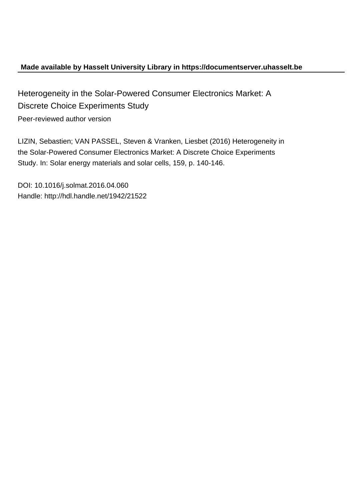# **Made available by Hasselt University Library in https://documentserver.uhasselt.be**

Heterogeneity in the Solar-Powered Consumer Electronics Market: A Discrete Choice Experiments Study Peer-reviewed author version

LIZIN, Sebastien; VAN PASSEL, Steven & Vranken, Liesbet (2016) Heterogeneity in the Solar-Powered Consumer Electronics Market: A Discrete Choice Experiments Study. In: Solar energy materials and solar cells, 159, p. 140-146.

DOI: 10.1016/j.solmat.2016.04.060 Handle: http://hdl.handle.net/1942/21522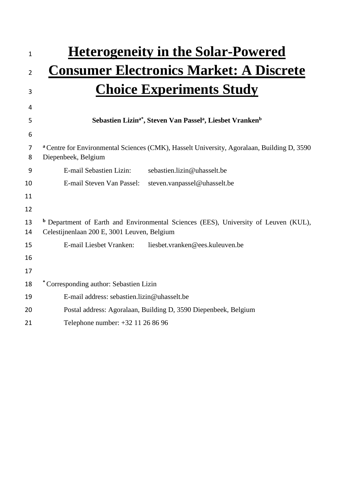| $\mathbf{1}$        | <b>Heterogeneity in the Solar-Powered</b>                                                                                                     |
|---------------------|-----------------------------------------------------------------------------------------------------------------------------------------------|
| $\overline{2}$      | <b>Consumer Electronics Market: A Discrete</b>                                                                                                |
| 3                   | <b>Choice Experiments Study</b>                                                                                                               |
| 4                   |                                                                                                                                               |
| 5                   | Sebastien Lizin <sup>a*</sup> , Steven Van Passel <sup>a</sup> , Liesbet Vranken <sup>b</sup>                                                 |
| 6                   |                                                                                                                                               |
| $\overline{7}$<br>8 | a Centre for Environmental Sciences (CMK), Hasselt University, Agoralaan, Building D, 3590<br>Diepenbeek, Belgium                             |
| 9                   | E-mail Sebastien Lizin:<br>sebastien.lizin@uhasselt.be                                                                                        |
| 10                  | E-mail Steven Van Passel:<br>steven.vanpassel@uhasselt.be                                                                                     |
| 11                  |                                                                                                                                               |
| 12                  |                                                                                                                                               |
| 13<br>14            | <sup>b</sup> Department of Earth and Environmental Sciences (EES), University of Leuven (KUL),<br>Celestijnenlaan 200 E, 3001 Leuven, Belgium |
| 15                  | E-mail Liesbet Vranken:<br>liesbet.vranken@ees.kuleuven.be                                                                                    |
| 16                  |                                                                                                                                               |
| 17                  |                                                                                                                                               |
| 18                  | *Corresponding author: Sebastien Lizin                                                                                                        |
| 19                  | E-mail address: sebastien.lizin@uhasselt.be                                                                                                   |
| 20                  | Postal address: Agoralaan, Building D, 3590 Diepenbeek, Belgium                                                                               |
| 21                  | Telephone number: +32 11 26 86 96                                                                                                             |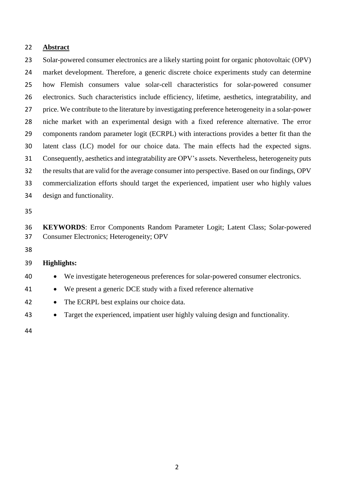#### **Abstract**

 Solar-powered consumer electronics are a likely starting point for organic photovoltaic (OPV) market development. Therefore, a generic discrete choice experiments study can determine how Flemish consumers value solar-cell characteristics for solar-powered consumer electronics. Such characteristics include efficiency, lifetime, aesthetics, integratability, and price. We contribute to the literature by investigating preference heterogeneity in a solar-power niche market with an experimental design with a fixed reference alternative. The error 29 components random parameter logit (ECRPL) with interactions provides a better fit than the latent class (LC) model for our choice data. The main effects had the expected signs. Consequently, aesthetics and integratability are OPV's assets. Nevertheless, heterogeneity puts the results that are valid for the average consumer into perspective. Based on our findings, OPV commercialization efforts should target the experienced, impatient user who highly values design and functionality.

 **KEYWORDS**: Error Components Random Parameter Logit; Latent Class; Solar-powered Consumer Electronics; Heterogeneity; OPV

#### **Highlights:**

We investigate heterogeneous preferences for solar-powered consumer electronics.

We present a generic DCE study with a fixed reference alternative

42 • The ECRPL best explains our choice data.

Target the experienced, impatient user highly valuing design and functionality.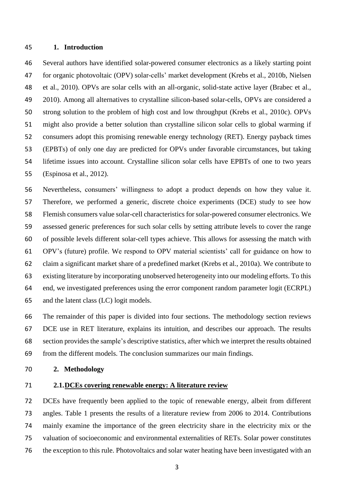#### **1. Introduction**

 Several authors have identified solar-powered consumer electronics as a likely starting point for organic photovoltaic (OPV) solar-cells' market development [\(Krebs et al., 2010b,](#page-14-0) [Nielsen](#page-14-1)  [et al., 2010\)](#page-14-1). OPVs are solar cells with an all-organic, solid-state active layer [\(Brabec et al.,](#page-12-0)  [2010\)](#page-12-0). Among all alternatives to crystalline silicon-based solar-cells, OPVs are considered a strong solution to the problem of high cost and low throughput [\(Krebs et al., 2010c\)](#page-14-2). OPVs might also provide a better solution than crystalline silicon solar cells to global warming if consumers adopt this promising renewable energy technology (RET). Energy payback times (EPBTs) of only one day are predicted for OPVs under favorable circumstances, but taking lifetime issues into account. Crystalline silicon solar cells have EPBTs of one to two years [\(Espinosa et al., 2012\)](#page-12-1).

 Nevertheless, consumers' willingness to adopt a product depends on how they value it. Therefore, we performed a generic, discrete choice experiments (DCE) study to see how Flemish consumers value solar-cell characteristics for solar-powered consumer electronics. We assessed generic preferences for such solar cells by setting attribute levels to cover the range of possible levels different solar-cell types achieve. This allows for assessing the match with OPV's (future) profile. We respond to OPV material scientists' call for guidance on how to claim a significant market share of a predefined market [\(Krebs et al., 2010a\)](#page-13-0). We contribute to existing literature by incorporating unobserved heterogeneity into our modeling efforts. To this end, we investigated preferences using the error component random parameter logit (ECRPL) and the latent class (LC) logit models.

 The remainder of this paper is divided into four sections. The methodology section reviews DCE use in RET literature, explains its intuition, and describes our approach. The results section provides the sample's descriptive statistics, after which we interpret the results obtained from the different models. The conclusion summarizes our main findings.

- **2. Methodology**
- 

# **2.1.DCEs covering renewable energy: A literature review**

 DCEs have frequently been applied to the topic of renewable energy, albeit from different angles. Table 1 presents the results of a literature review from 2006 to 2014. Contributions mainly examine the importance of the green electricity share in the electricity mix or the valuation of socioeconomic and environmental externalities of RETs. Solar power constitutes the exception to this rule. Photovoltaics and solar water heating have been investigated with an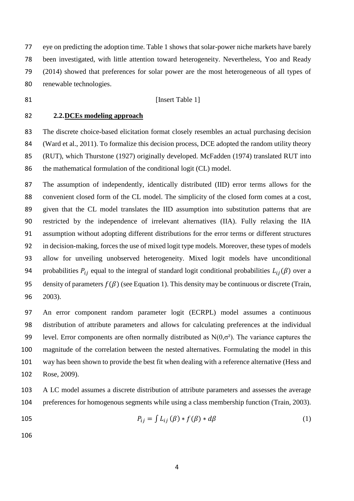eye on predicting the adoption time. Table 1 shows that solar-power niche markets have barely been investigated, with little attention toward heterogeneity. Nevertheless, [Yoo and Ready](#page-15-0)  (2014) showed that preferences for solar power are the most heterogeneous of all types of renewable technologies.

81 [Insert Table 1]

### **2.2.DCEs modeling approach**

 The discrete choice-based elicitation format closely resembles an actual purchasing decision [\(Ward et al., 2011\)](#page-15-1). To formalize this decision process, DCE adopted the random utility theory (RUT), which Thurstone [\(1927\)](#page-15-2) originally developed. McFadden [\(1974\)](#page-14-3) translated RUT into 86 the mathematical formulation of the conditional logit (CL) model.

 The assumption of independently, identically distributed (IID) error terms allows for the convenient closed form of the CL model. The simplicity of the closed form comes at a cost, given that the CL model translates the IID assumption into substitution patterns that are restricted by the independence of irrelevant alternatives (IIA). Fully relaxing the IIA assumption without adopting different distributions for the error terms or different structures in decision-making, forces the use of mixed logit type models. Moreover, these types of models allow for unveiling unobserved heterogeneity. Mixed logit models have unconditional 94 probabilities  $P_{ij}$  equal to the integral of standard logit conditional probabilities  $L_{ij}(\beta)$  over a 95 density of parameters  $f(\beta)$  (see Equation 1). This density may be continuous or discrete (Train, [2003\)](#page-15-3).

 An error component random parameter logit (ECRPL) model assumes a continuous distribution of attribute parameters and allows for calculating preferences at the individual 99 level. Error components are often normally distributed as  $N(0,\sigma^2)$ . The variance captures the magnitude of the correlation between the nested alternatives. Formulating the model in this way has been shown to provide the best fit when dealing with a reference alternative [\(Hess and](#page-13-1)  [Rose, 2009\)](#page-13-1).

 A LC model assumes a discrete distribution of attribute parameters and assesses the average preferences for homogenous segments while using a class membership function [\(Train, 2003\)](#page-15-3).

$$
P_{ij} = \int L_{ij}(\beta) * f(\beta) * d\beta \tag{1}
$$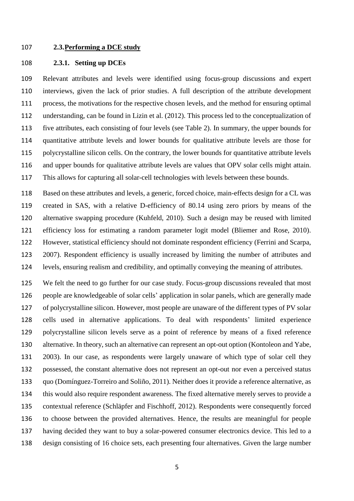#### **2.3.Performing a DCE study**

#### **2.3.1. Setting up DCEs**

 Relevant attributes and levels were identified using focus-group discussions and expert interviews, given the lack of prior studies. A full description of the attribute development process, the motivations for the respective chosen levels, and the method for ensuring optimal understanding, can be found in Lizin et al. [\(2012\)](#page-14-4). This process led to the conceptualization of five attributes, each consisting of four levels (see Table 2). In summary, the upper bounds for quantitative attribute levels and lower bounds for qualitative attribute levels are those for polycrystalline silicon cells. On the contrary, the lower bounds for quantitative attribute levels and upper bounds for qualitative attribute levels are values that OPV solar cells might attain. This allows for capturing all solar-cell technologies with levels between these bounds.

 Based on these attributes and levels, a generic, forced choice, main-effects design for a CL was created in SAS, with a relative D-efficiency of 80.14 using zero priors by means of the alternative swapping procedure [\(Kuhfeld, 2010\)](#page-14-5). Such a design may be reused with limited efficiency loss for estimating a random parameter logit model [\(Bliemer and Rose, 2010\)](#page-12-2). However, statistical efficiency should not dominate respondent efficiency [\(Ferrini and Scarpa,](#page-12-3)  [2007\)](#page-12-3). Respondent efficiency is usually increased by limiting the number of attributes and levels, ensuring realism and credibility, and optimally conveying the meaning of attributes.

 We felt the need to go further for our case study. Focus-group discussions revealed that most people are knowledgeable of solar cells' application in solar panels, which are generally made of polycrystalline silicon. However, most people are unaware of the different types of PV solar cells used in alternative applications. To deal with respondents' limited experience polycrystalline silicon levels serve as a point of reference by means of a fixed reference alternative. In theory, such an alternative can represent an opt-out option [\(Kontoleon and Yabe,](#page-13-2)  [2003\)](#page-13-2). In our case, as respondents were largely unaware of which type of solar cell they possessed, the constant alternative does not represent an opt-out nor even a perceived status quo [\(Domínguez-Torreiro and Soliño, 2011\)](#page-12-4). Neither does it provide a reference alternative, as this would also require respondent awareness. The fixed alternative merely serves to provide a contextual reference [\(Schläpfer and Fischhoff, 2012\)](#page-14-6). Respondents were consequently forced to choose between the provided alternatives. Hence, the results are meaningful for people having decided they want to buy a solar-powered consumer electronics device. This led to a design consisting of 16 choice sets, each presenting four alternatives. Given the large number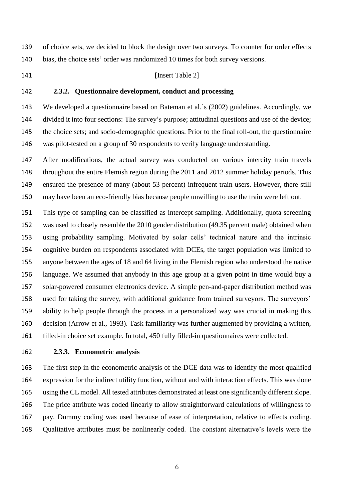of choice sets, we decided to block the design over two surveys. To counter for order effects bias, the choice sets' order was randomized 10 times for both survey versions.

#### **Insert Table 2**

#### **2.3.2. Questionnaire development, conduct and processing**

 We developed a questionnaire based on Bateman et al.'s [\(2002\)](#page-11-0) guidelines. Accordingly, we divided it into four sections: The survey's purpose; attitudinal questions and use of the device; the choice sets; and socio-demographic questions. Prior to the final roll-out, the questionnaire was pilot-tested on a group of 30 respondents to verify language understanding.

 After modifications, the actual survey was conducted on various intercity train travels 148 throughout the entire Flemish region during the 2011 and 2012 summer holiday periods. This ensured the presence of many (about 53 percent) infrequent train users. However, there still may have been an eco-friendly bias because people unwilling to use the train were left out.

 This type of sampling can be classified as intercept sampling. Additionally, quota screening was used to closely resemble the 2010 gender distribution (49.35 percent male) obtained when using probability sampling. Motivated by solar cells' technical nature and the intrinsic cognitive burden on respondents associated with DCEs, the target population was limited to anyone between the ages of 18 and 64 living in the Flemish region who understood the native language. We assumed that anybody in this age group at a given point in time would buy a solar-powered consumer electronics device. A simple pen-and-paper distribution method was used for taking the survey, with additional guidance from trained surveyors. The surveyors' ability to help people through the process in a personalized way was crucial in making this decision [\(Arrow et al., 1993\)](#page-11-1). Task familiarity was further augmented by providing a written, filled-in choice set example. In total, 450 fully filled-in questionnaires were collected.

## **2.3.3. Econometric analysis**

 The first step in the econometric analysis of the DCE data was to identify the most qualified expression for the indirect utility function, without and with interaction effects. This was done using the CL model. All tested attributes demonstrated at least one significantly different slope. The price attribute was coded linearly to allow straightforward calculations of willingness to pay. Dummy coding was used because of ease of interpretation, relative to effects coding. Qualitative attributes must be nonlinearly coded. The constant alternative's levels were the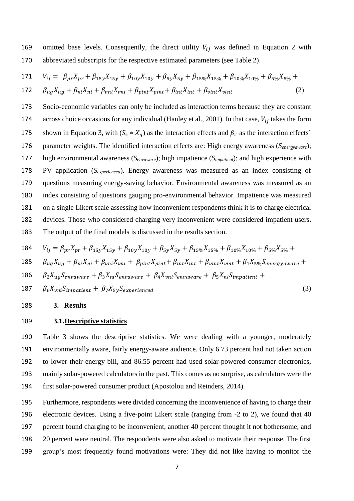169 omitted base levels. Consequently, the direct utility  $V_{ij}$  was defined in Equation 2 with abbreviated subscripts for the respective estimated parameters (see Table 2).

171 
$$
V_{ij} = \beta_{pr} X_{pr} + \beta_{15y} X_{15y} + \beta_{10y} X_{10y} + \beta_{5y} X_{5y} + \beta_{15y} X_{15y} + \beta_{10y} X_{10y} + \beta_{5y} X_{5y} +
$$

172 
$$
\beta_{ug} X_{ug} + \beta_{ni} X_{ni} + \beta_{vni} X_{vni} + \beta_{pint} X_{pint} + \beta_{int} X_{int} + \beta_{vint} X_{vint}
$$
 (2)

 Socio-economic variables can only be included as interaction terms because they are constant 174 across choice occasions for any individual [\(Hanley et al., 2001\)](#page-13-3). In that case,  $V_{ij}$  takes the form 175 shown in Equation 3, with  $(S_z * X_q)$  as the interaction effects and  $\beta_{\#}$  as the interaction effects' parameter weights. The identified interaction effects are: High energy awareness (*Senergyaware*); high environmental awareness (*Senvaware*); high impatience (*Simpatient*); and high experience with PV application (*Sexperienced*). Energy awareness was measured as an index consisting of questions measuring energy-saving behavior. Environmental awareness was measured as an index consisting of questions gauging pro-environmental behavior. Impatience was measured on a single Likert scale assessing how inconvenient respondents think it is to charge electrical devices. Those who considered charging very inconvenient were considered impatient users. The output of the final models is discussed in the results section.

$$
184 \qquad V_{ij} = \beta_{pr} X_{pr} + \beta_{15y} X_{15y} + \beta_{10y} X_{10y} + \beta_{5y} X_{5y} + \beta_{15\%} X_{15\%} + \beta_{10\%} X_{10\%} + \beta_{5\%} X_{5\%} +
$$

185 
$$
\beta_{ug} X_{ug} + \beta_{ni} X_{ni} + \beta_{vni} X_{vni} + \beta_{pint} X_{pint} + \beta_{int} X_{int} + \beta_{vint} X_{vint} + \beta_1 X_{5\%} S_{energyaware}
$$

186  $\beta_2 X_{ug} S_{envaware} + \beta_3 X_{ni} S_{envaware} + \beta_4 X_{vni} S_{envaware} + \beta_5 X_{ni} S_{impatient} +$ 

187  $\beta_6 X_{\text{vni}} S_{\text{impatient}} + \beta_7 X_{5y} S_{\text{experienced}}$  (3)

#### **3. Results**

#### **3.1.Descriptive statistics**

 Table 3 shows the descriptive statistics. We were dealing with a younger, moderately environmentally aware, fairly energy-aware audience. Only 6.73 percent had not taken action to lower their energy bill, and 86.55 percent had used solar-powered consumer electronics, mainly solar-powered calculators in the past. This comes as no surprise, as calculators were the first solar-powered consumer product [\(Apostolou and Reinders, 2014\)](#page-11-2).

 Furthermore, respondents were divided concerning the inconvenience of having to charge their electronic devices. Using a five-point Likert scale (ranging from -2 to 2), we found that 40 percent found charging to be inconvenient, another 40 percent thought it not bothersome, and 20 percent were neutral. The respondents were also asked to motivate their response. The first group's most frequently found motivations were: They did not like having to monitor the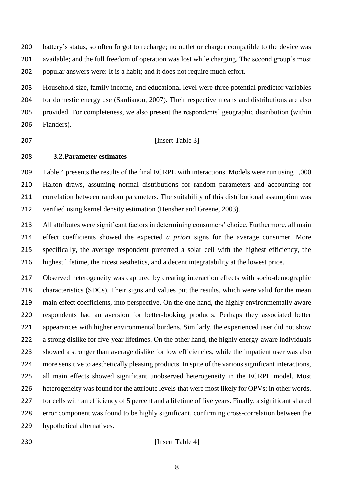battery's status, so often forgot to recharge; no outlet or charger compatible to the device was available; and the full freedom of operation was lost while charging. The second group's most popular answers were: It is a habit; and it does not require much effort.

 Household size, family income, and educational level were three potential predictor variables for domestic energy use [\(Sardianou, 2007\)](#page-14-7). Their respective means and distributions are also provided. For completeness, we also present the respondents' geographic distribution (within Flanders).

#### **Insert Table 3**

#### **3.2.Parameter estimates**

 Table 4 presents the results of the final ECRPL with interactions. Models were run using 1,000 Halton draws, assuming normal distributions for random parameters and accounting for correlation between random parameters. The suitability of this distributional assumption was verified using kernel density estimation [\(Hensher and Greene, 2003\)](#page-13-4).

 All attributes were significant factors in determining consumers' choice. Furthermore, all main effect coefficients showed the expected *a priori* signs for the average consumer. More specifically, the average respondent preferred a solar cell with the highest efficiency, the highest lifetime, the nicest aesthetics, and a decent integratability at the lowest price.

 Observed heterogeneity was captured by creating interaction effects with socio-demographic characteristics (SDCs). Their signs and values put the results, which were valid for the mean main effect coefficients, into perspective. On the one hand, the highly environmentally aware respondents had an aversion for better-looking products. Perhaps they associated better appearances with higher environmental burdens. Similarly, the experienced user did not show a strong dislike for five-year lifetimes. On the other hand, the highly energy-aware individuals showed a stronger than average dislike for low efficiencies, while the impatient user was also more sensitive to aesthetically pleasing products. In spite of the various significant interactions, all main effects showed significant unobserved heterogeneity in the ECRPL model. Most heterogeneity was found for the attribute levels that were most likely for OPVs; in other words. for cells with an efficiency of 5 percent and a lifetime of five years. Finally, a significant shared error component was found to be highly significant, confirming cross-correlation between the hypothetical alternatives.

**Insert Table 4**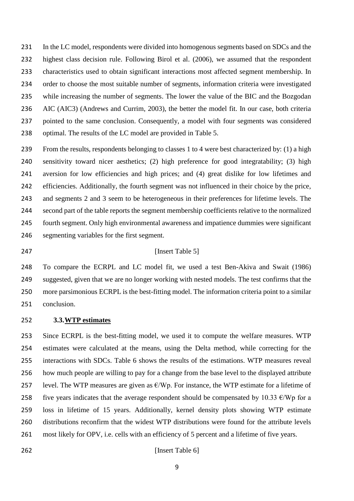In the LC model, respondents were divided into homogenous segments based on SDCs and the highest class decision rule. Following Birol et al. [\(2006\)](#page-12-5), we assumed that the respondent characteristics used to obtain significant interactions most affected segment membership. In order to choose the most suitable number of segments, information criteria were investigated while increasing the number of segments. The lower the value of the BIC and the Bozgodan AIC (AIC3) [\(Andrews and Currim, 2003\)](#page-11-3), the better the model fit. In our case, both criteria pointed to the same conclusion. Consequently, a model with four segments was considered optimal. The results of the LC model are provided in Table 5.

 From the results, respondents belonging to classes 1 to 4 were best characterized by: (1) a high sensitivity toward nicer aesthetics; (2) high preference for good integratability; (3) high aversion for low efficiencies and high prices; and (4) great dislike for low lifetimes and efficiencies. Additionally, the fourth segment was not influenced in their choice by the price, and segments 2 and 3 seem to be heterogeneous in their preferences for lifetime levels. The second part of the table reports the segment membership coefficients relative to the normalized fourth segment. Only high environmental awareness and impatience dummies were significant segmenting variables for the first segment.

#### **Insert Table 5**

 To compare the ECRPL and LC model fit, we used a test Ben-Akiva and Swait [\(1986\)](#page-11-4) suggested, given that we are no longer working with nested models. The test confirms that the more parsimonious ECRPL is the best-fitting model. The information criteria point to a similar conclusion.

#### **3.3.WTP estimates**

 Since ECRPL is the best-fitting model, we used it to compute the welfare measures. WTP estimates were calculated at the means, using the Delta method, while correcting for the interactions with SDCs. Table 6 shows the results of the estimations. WTP measures reveal how much people are willing to pay for a change from the base level to the displayed attribute 257 level. The WTP measures are given as  $\epsilon$ /Wp. For instance, the WTP estimate for a lifetime of 258 five years indicates that the average respondent should be compensated by 10.33  $\epsilon$ /Wp for a loss in lifetime of 15 years. Additionally, kernel density plots showing WTP estimate distributions reconfirm that the widest WTP distributions were found for the attribute levels most likely for OPV, i.e. cells with an efficiency of 5 percent and a lifetime of five years.

262 [Insert Table 6]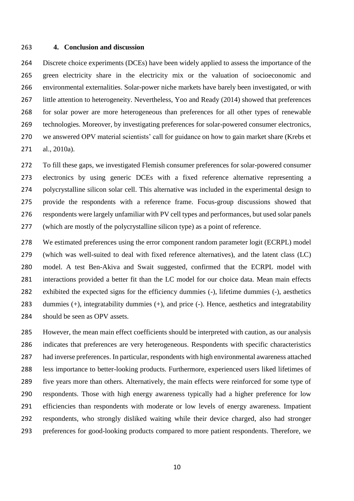#### **4. Conclusion and discussion**

 Discrete choice experiments (DCEs) have been widely applied to assess the importance of the green electricity share in the electricity mix or the valuation of socioeconomic and environmental externalities. Solar-power niche markets have barely been investigated, or with little attention to heterogeneity. Nevertheless, [Yoo and Ready \(2014\)](#page-15-0) showed that preferences for solar power are more heterogeneous than preferences for all other types of renewable technologies. Moreover, by investigating preferences for solar-powered consumer electronics, we answered OPV material scientists' call for guidance on how to gain market share [\(Krebs et](#page-13-0)  [al., 2010a\)](#page-13-0).

 To fill these gaps, we investigated Flemish consumer preferences for solar-powered consumer electronics by using generic DCEs with a fixed reference alternative representing a polycrystalline silicon solar cell. This alternative was included in the experimental design to provide the respondents with a reference frame. Focus-group discussions showed that respondents were largely unfamiliar with PV cell types and performances, but used solar panels (which are mostly of the polycrystalline silicon type) as a point of reference.

 We estimated preferences using the error component random parameter logit (ECRPL) model (which was well-suited to deal with fixed reference alternatives), and the latent class (LC) model. A test Ben-Akiva and Swait suggested, confirmed that the ECRPL model with interactions provided a better fit than the LC model for our choice data. Mean main effects exhibited the expected signs for the efficiency dummies (-), lifetime dummies (-), aesthetics dummies (+), integratability dummies (+), and price (-). Hence, aesthetics and integratability 284 should be seen as OPV assets.

 However, the mean main effect coefficients should be interpreted with caution, as our analysis indicates that preferences are very heterogeneous. Respondents with specific characteristics had inverse preferences. In particular, respondents with high environmental awareness attached less importance to better-looking products. Furthermore, experienced users liked lifetimes of five years more than others. Alternatively, the main effects were reinforced for some type of respondents. Those with high energy awareness typically had a higher preference for low efficiencies than respondents with moderate or low levels of energy awareness. Impatient respondents, who strongly disliked waiting while their device charged, also had stronger preferences for good-looking products compared to more patient respondents. Therefore, we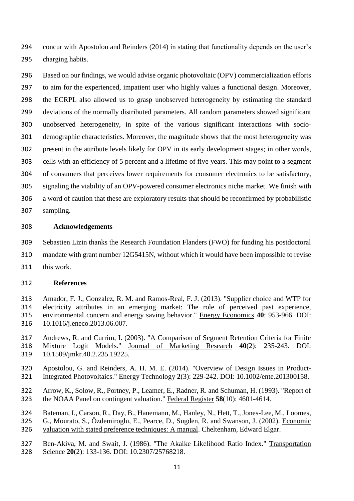concur with [Apostolou and Reinders \(2014\)](#page-11-2) in stating that functionality depends on the user's charging habits.

 Based on our findings, we would advise organic photovoltaic (OPV) commercialization efforts to aim for the experienced, impatient user who highly values a functional design. Moreover, the ECRPL also allowed us to grasp unobserved heterogeneity by estimating the standard deviations of the normally distributed parameters. All random parameters showed significant unobserved heterogeneity, in spite of the various significant interactions with socio- demographic characteristics. Moreover, the magnitude shows that the most heterogeneity was present in the attribute levels likely for OPV in its early development stages; in other words, cells with an efficiency of 5 percent and a lifetime of five years. This may point to a segment of consumers that perceives lower requirements for consumer electronics to be satisfactory, signaling the viability of an OPV-powered consumer electronics niche market. We finish with a word of caution that these are exploratory results that should be reconfirmed by probabilistic sampling.

#### **Acknowledgements**

Sebastien Lizin thanks the Research Foundation Flanders (FWO) for funding his postdoctoral

mandate with grant number 12G5415N, without which it would have been impossible to revise

this work.

#### **References**

<span id="page-11-5"></span> Amador, F. J., Gonzalez, R. M. and Ramos-Real, F. J. (2013). "Supplier choice and WTP for electricity attributes in an emerging market: The role of perceived past experience, environmental concern and energy saving behavior." Energy Economics **40**: 953-966. DOI: 10.1016/j.eneco.2013.06.007.

<span id="page-11-3"></span> Andrews, R. and Currim, I. (2003). "A Comparison of Segment Retention Criteria for Finite Mixture Logit Models." Journal of Marketing Research **40**(2): 235-243. DOI: 10.1509/jmkr.40.2.235.19225.

<span id="page-11-2"></span> Apostolou, G. and Reinders, A. H. M. E. (2014). "Overview of Design Issues in Product-Integrated Photovoltaics." Energy Technology **2**(3): 229-242. DOI: 10.1002/ente.201300158.

<span id="page-11-1"></span> Arrow, K., Solow, R., Portney, P., Leamer, E., Radner, R. and Schuman, H. (1993). "Report of the NOAA Panel on contingent valuation." Federal Register **58**(10): 4601-4614.

<span id="page-11-0"></span> Bateman, I., Carson, R., Day, B., Hanemann, M., Hanley, N., Hett, T., Jones-Lee, M., Loomes, G., Mourato, S., Özdemiroglu, E., Pearce, D., Sugden, R. and Swanson, J. (2002). Economic valuation with stated preference techniques: A manual. Cheltenham, Edward Elgar.

<span id="page-11-4"></span> Ben-Akiva, M. and Swait, J. (1986). "The Akaike Likelihood Ratio Index." Transportation Science **20**(2): 133-136. DOI: 10.2307/25768218.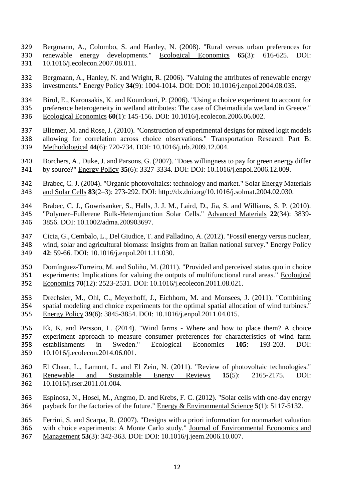- <span id="page-12-9"></span> Bergmann, A., Colombo, S. and Hanley, N. (2008). "Rural versus urban preferences for renewable energy developments." Ecological Economics **65**(3): 616-625. DOI: 10.1016/j.ecolecon.2007.08.011.
- <span id="page-12-8"></span> Bergmann, A., Hanley, N. and Wright, R. (2006). "Valuing the attributes of renewable energy investments." Energy Policy **34**(9): 1004-1014. DOI: DOI: 10.1016/j.enpol.2004.08.035.
- <span id="page-12-5"></span> Birol, E., Karousakis, K. and Koundouri, P. (2006). "Using a choice experiment to account for preference heterogeneity in wetland attributes: The case of Cheimaditida wetland in Greece." Ecological Economics **60**(1): 145-156. DOI: 10.1016/j.ecolecon.2006.06.002.
- <span id="page-12-2"></span> Bliemer, M. and Rose, J. (2010). "Construction of experimental designs for mixed logit models allowing for correlation across choice observations." Transportation Research Part B: Methodological **44**(6): 720-734. DOI: 10.1016/j.trb.2009.12.004.
- <span id="page-12-10"></span> Borchers, A., Duke, J. and Parsons, G. (2007). "Does willingness to pay for green energy differ by source?" Energy Policy **35**(6): 3327-3334. DOI: DOI: 10.1016/j.enpol.2006.12.009.
- <span id="page-12-13"></span> Brabec, C. J. (2004). "Organic photovoltaics: technology and market." Solar Energy Materials and Solar Cells **83**(2–3): 273-292. DOI: http://dx.doi.org/10.1016/j.solmat.2004.02.030.
- <span id="page-12-0"></span> Brabec, C. J., Gowrisanker, S., Halls, J. J. M., Laird, D., Jia, S. and Williams, S. P. (2010). "Polymer–Fullerene Bulk-Heterojunction Solar Cells." Advanced Materials **22**(34): 3839- 3856. DOI: 10.1002/adma.200903697.
- <span id="page-12-11"></span> Cicia, G., Cembalo, L., Del Giudice, T. and Palladino, A. (2012). "Fossil energy versus nuclear, wind, solar and agricultural biomass: Insights from an Italian national survey." Energy Policy **42**: 59-66. DOI: 10.1016/j.enpol.2011.11.030.
- <span id="page-12-4"></span> Domínguez-Torreiro, M. and Soliño, M. (2011). "Provided and perceived status quo in choice experiments: Implications for valuing the outputs of multifunctional rural areas." Ecological Economics **70**(12): 2523-2531. DOI: 10.1016/j.ecolecon.2011.08.021.
- <span id="page-12-6"></span> Drechsler, M., Ohl, C., Meyerhoff, J., Eichhorn, M. and Monsees, J. (2011). "Combining spatial modeling and choice experiments for the optimal spatial allocation of wind turbines." Energy Policy **39**(6): 3845-3854. DOI: 10.1016/j.enpol.2011.04.015.
- <span id="page-12-7"></span> Ek, K. and Persson, L. (2014). "Wind farms - Where and how to place them? A choice 357 experiment approach to measure consumer preferences for characteristics of wind farm<br>358 establishments in Sweden." Ecological Economics 105: 193-203. DOI: establishments in Sweden." Ecological Economics **105**: 193-203. DOI: 10.1016/j.ecolecon.2014.06.001.
- <span id="page-12-12"></span> El Chaar, L., Lamont, L. and El Zein, N. (2011). "Review of photovoltaic technologies." Renewable and Sustainable Energy Reviews **15**(5): 2165-2175. DOI: 10.1016/j.rser.2011.01.004.
- <span id="page-12-1"></span> Espinosa, N., Hosel, M., Angmo, D. and Krebs, F. C. (2012). "Solar cells with one-day energy payback for the factories of the future." Energy & Environmental Science **5**(1): 5117-5132.
- <span id="page-12-3"></span> Ferrini, S. and Scarpa, R. (2007). "Designs with a priori information for nonmarket valuation with choice experiments: A Monte Carlo study." Journal of Environmental Economics and
- Management **53**(3): 342-363. DOI: DOI: 10.1016/j.jeem.2006.10.007.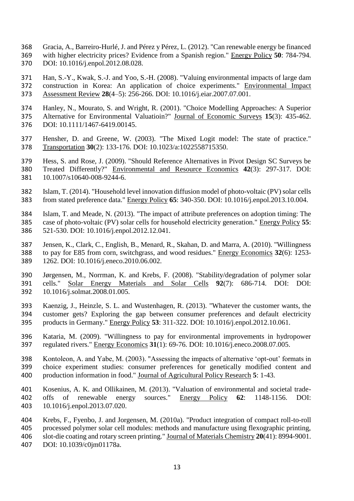- <span id="page-13-10"></span> Gracia, A., Barreiro-Hurlé, J. and Pérez y Pérez, L. (2012). "Can renewable energy be financed with higher electricity prices? Evidence from a Spanish region." Energy Policy **50**: 784-794. DOI: 10.1016/j.enpol.2012.08.028.
- <span id="page-13-6"></span> Han, S.-Y., Kwak, S.-J. and Yoo, S.-H. (2008). "Valuing environmental impacts of large dam construction in Korea: An application of choice experiments." Environmental Impact Assessment Review **28**(4–5): 256-266. DOI: 10.1016/j.eiar.2007.07.001.
- <span id="page-13-3"></span> Hanley, N., Mourato, S. and Wright, R. (2001). "Choice Modelling Approaches: A Superior Alternative for Environmental Valuatioin?" Journal of Economic Surveys **15**(3): 435-462. DOI: 10.1111/1467-6419.00145.
- <span id="page-13-4"></span> Hensher, D. and Greene, W. (2003). "The Mixed Logit model: The state of practice." Transportation **30**(2): 133-176. DOI: 10.1023/a:1022558715350.
- <span id="page-13-1"></span> Hess, S. and Rose, J. (2009). "Should Reference Alternatives in Pivot Design SC Surveys be Treated Differently?" Environmental and Resource Economics **42**(3): 297-317. DOI: 10.1007/s10640-008-9244-6.
- <span id="page-13-9"></span> Islam, T. (2014). "Household level innovation diffusion model of photo-voltaic (PV) solar cells from stated preference data." Energy Policy **65**: 340-350. DOI: 10.1016/j.enpol.2013.10.004.
- <span id="page-13-8"></span> Islam, T. and Meade, N. (2013). "The impact of attribute preferences on adoption timing: The case of photo-voltaic (PV) solar cells for household electricity generation." Energy Policy **55**: 521-530. DOI: 10.1016/j.enpol.2012.12.041.
- <span id="page-13-5"></span> Jensen, K., Clark, C., English, B., Menard, R., Skahan, D. and Marra, A. (2010). "Willingness to pay for E85 from corn, switchgrass, and wood residues." Energy Economics **32**(6): 1253- 1262. DOI: 10.1016/j.eneco.2010.06.002.
- <span id="page-13-13"></span> Jørgensen, M., Norrman, K. and Krebs, F. (2008). "Stability/degradation of polymer solar cells." Solar Energy Materials and Solar Cells **92**(7): 686-714. DOI: DOI: 10.1016/j.solmat.2008.01.005.
- <span id="page-13-11"></span> Kaenzig, J., Heinzle, S. L. and Wustenhagen, R. (2013). "Whatever the customer wants, the customer gets? Exploring the gap between consumer preferences and default electricity products in Germany." Energy Policy **53**: 311-322. DOI: 10.1016/j.enpol.2012.10.061.
- <span id="page-13-7"></span> Kataria, M. (2009). "Willingness to pay for environmental improvements in hydropower regulated rivers." Energy Economics **31**(1): 69-76. DOI: 10.1016/j.eneco.2008.07.005.
- <span id="page-13-2"></span> Kontoleon, A. and Yabe, M. (2003). "Assessing the impacts of alternative 'opt-out' formats in choice experiment studies: consumer preferences for genetically modified content and production information in food." Journal of Agricultural Policy Research **5**: 1-43.
- <span id="page-13-12"></span>401 Kosenius, A. K. and Ollikainen, M. (2013). "Valuation of environmental and societal trade-<br>402 offs of renewable energy sources." Energy Policy 62: 1148-1156. DOI: offs of renewable energy sources." Energy Policy **62**: 1148-1156. DOI: 10.1016/j.enpol.2013.07.020.
- <span id="page-13-0"></span> Krebs, F., Fyenbo, J. and Jorgensen, M. (2010a). "Product integration of compact roll-to-roll processed polymer solar cell modules: methods and manufacture using flexographic printing, slot-die coating and rotary screen printing." Journal of Materials Chemistry **20**(41): 8994-9001.
- DOI: 10.1039/c0jm01178a.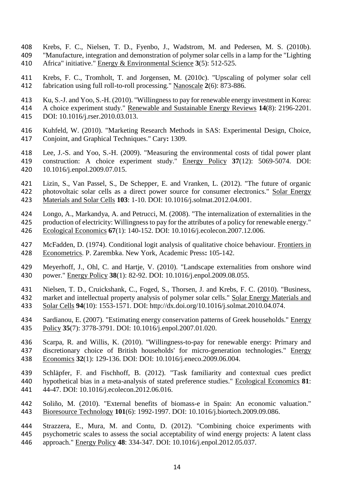- <span id="page-14-0"></span> Krebs, F. C., Nielsen, T. D., Fyenbo, J., Wadstrom, M. and Pedersen, M. S. (2010b). "Manufacture, integration and demonstration of polymer solar cells in a lamp for the "Lighting Africa" initiative." Energy & Environmental Science **3**(5): 512-525.
- <span id="page-14-2"></span> Krebs, F. C., Tromholt, T. and Jorgensen, M. (2010c). "Upscaling of polymer solar cell fabrication using full roll-to-roll processing." Nanoscale **2**(6): 873-886.
- <span id="page-14-12"></span> Ku, S.-J. and Yoo, S.-H. (2010). "Willingness to pay for renewable energy investment in Korea: A choice experiment study." Renewable and Sustainable Energy Reviews **14**(8): 2196-2201. DOI: 10.1016/j.rser.2010.03.013.
- <span id="page-14-5"></span> Kuhfeld, W. (2010). "Marketing Research Methods in SAS: Experimental Design, Choice, Conjoint, and Graphical Techniques." Cary**:** 1309.
- <span id="page-14-9"></span> Lee, J.-S. and Yoo, S.-H. (2009). "Measuring the environmental costs of tidal power plant construction: A choice experiment study." Energy Policy **37**(12): 5069-5074. DOI: 10.1016/j.enpol.2009.07.015.
- <span id="page-14-4"></span> Lizin, S., Van Passel, S., De Schepper, E. and Vranken, L. (2012). "The future of organic photovoltaic solar cells as a direct power source for consumer electronics." Solar Energy Materials and Solar Cells **103**: 1-10. DOI: 10.1016/j.solmat.2012.04.001.
- <span id="page-14-13"></span> Longo, A., Markandya, A. and Petrucci, M. (2008). "The internalization of externalities in the production of electricity: Willingness to pay for the attributes of a policy for renewable energy." Ecological Economics **67**(1): 140-152. DOI: 10.1016/j.ecolecon.2007.12.006.
- <span id="page-14-3"></span> McFadden, D. (1974). Conditional logit analysis of qualitative choice behaviour. Frontiers in Econometrics. P. Zarembka. New York, Academic Press**:** 105-142.
- <span id="page-14-10"></span> Meyerhoff, J., Ohl, C. and Hartje, V. (2010). "Landscape externalities from onshore wind power." Energy Policy **38**(1): 82-92. DOI: 10.1016/j.enpol.2009.08.055.
- <span id="page-14-1"></span>Nielsen, T. D., Cruickshank, C., Foged, S., Thorsen, J. and Krebs, F. C. (2010). "Business,
- 432 market and intellectual property analysis of polymer solar cells." Solar Energy Materials and Solar Cells **94**(10): 1553-1571. DOI: http://dx.doi.org/10.1016/j.solmat.2010.04.074.
- <span id="page-14-7"></span> Sardianou, E. (2007). "Estimating energy conservation patterns of Greek households." Energy Policy **35**(7): 3778-3791. DOI: 10.1016/j.enpol.2007.01.020.
- <span id="page-14-14"></span> Scarpa, R. and Willis, K. (2010). "Willingness-to-pay for renewable energy: Primary and discretionary choice of British households' for micro-generation technologies." Energy Economics **32**(1): 129-136. DOI: DOI: 10.1016/j.eneco.2009.06.004.
- <span id="page-14-6"></span> Schläpfer, F. and Fischhoff, B. (2012). "Task familiarity and contextual cues predict hypothetical bias in a meta-analysis of stated preference studies." Ecological Economics **81**: 44-47. DOI: 10.1016/j.ecolecon.2012.06.016.
- <span id="page-14-8"></span> Soliño, M. (2010). "External benefits of biomass-e in Spain: An economic valuation." Bioresource Technology **101**(6): 1992-1997. DOI: 10.1016/j.biortech.2009.09.086.
- <span id="page-14-11"></span> Strazzera, E., Mura, M. and Contu, D. (2012). "Combining choice experiments with psychometric scales to assess the social acceptability of wind energy projects: A latent class approach." Energy Policy **48**: 334-347. DOI: 10.1016/j.enpol.2012.05.037.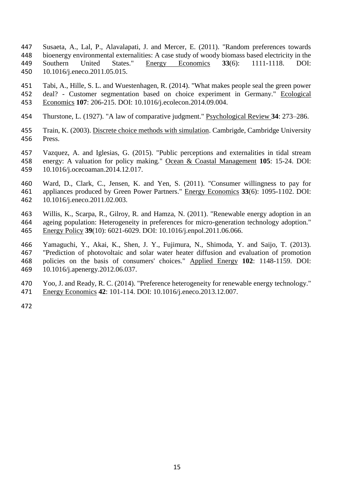- <span id="page-15-4"></span> Susaeta, A., Lal, P., Alavalapati, J. and Mercer, E. (2011). "Random preferences towards 448 bioenergy environmental externalities: A case study of woody biomass based electricity in the<br>449 Southern United States." Energy Economics 33(6): 1111-1118. DOI: Southern United States." Energy Economics **33**(6): 1111-1118. DOI: 10.1016/j.eneco.2011.05.015.
- <span id="page-15-7"></span> Tabi, A., Hille, S. L. and Wuestenhagen, R. (2014). "What makes people seal the green power deal? - Customer segmentation based on choice experiment in Germany." Ecological
- Economics **107**: 206-215. DOI: 10.1016/j.ecolecon.2014.09.004.
- <span id="page-15-2"></span>Thurstone, L. (1927). "A law of comparative judgment." Psychological Review **34**: 273–286.
- <span id="page-15-3"></span> Train, K. (2003). Discrete choice methods with simulation. Cambrigde, Cambridge University Press.
- <span id="page-15-6"></span> Vazquez, A. and Iglesias, G. (2015). "Public perceptions and externalities in tidal stream energy: A valuation for policy making." Ocean & Coastal Management **105**: 15-24. DOI: 10.1016/j.ocecoaman.2014.12.017.
- <span id="page-15-1"></span> Ward, D., Clark, C., Jensen, K. and Yen, S. (2011). "Consumer willingness to pay for appliances produced by Green Power Partners." Energy Economics **33**(6): 1095-1102. DOI: 10.1016/j.eneco.2011.02.003.
- <span id="page-15-8"></span> Willis, K., Scarpa, R., Gilroy, R. and Hamza, N. (2011). "Renewable energy adoption in an ageing population: Heterogeneity in preferences for micro-generation technology adoption." Energy Policy **39**(10): 6021-6029. DOI: 10.1016/j.enpol.2011.06.066.
- <span id="page-15-5"></span> Yamaguchi, Y., Akai, K., Shen, J. Y., Fujimura, N., Shimoda, Y. and Saijo, T. (2013). "Prediction of photovoltaic and solar water heater diffusion and evaluation of promotion policies on the basis of consumers' choices." Applied Energy **102**: 1148-1159. DOI: 10.1016/j.apenergy.2012.06.037.
- <span id="page-15-0"></span> Yoo, J. and Ready, R. C. (2014). "Preference heterogeneity for renewable energy technology." Energy Economics **42**: 101-114. DOI: 10.1016/j.eneco.2013.12.007.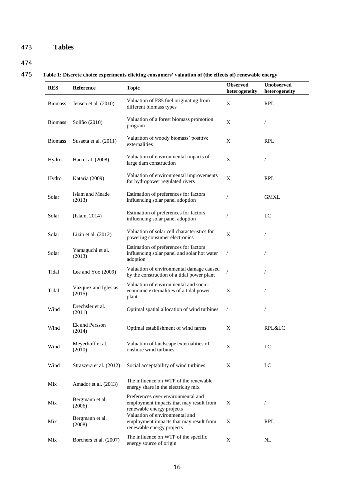# 473 **Tables**

474

## 475 **Table 1: Discrete choice experiments eliciting consumers' valuation of (the effects of) renewable energy**

| <b>RES</b>     | Reference                      | <b>Topic</b>                                                                                               | <b>Observed</b><br>heterogeneity | <b>Unobserved</b><br>heterogeneity |
|----------------|--------------------------------|------------------------------------------------------------------------------------------------------------|----------------------------------|------------------------------------|
| <b>Biomass</b> | Jensen et al. $(2010)$         | Valuation of E85 fuel originating from<br>different biomass types                                          | X                                | <b>RPL</b>                         |
| <b>Biomass</b> | Soliño (2010)                  | Valuation of a forest biomass promotion<br>program                                                         | X                                | 7                                  |
| <b>Biomass</b> | Susaeta et al. (2011)          | Valuation of woody biomass' positive<br>externalities                                                      | X                                | <b>RPL</b>                         |
| Hydro          | Han et al. (2008)              | Valuation of environmental impacts of<br>large dam construction                                            | X                                | 7                                  |
| Hydro          | Kataria (2009)                 | Valuation of environmental improvements<br>for hydropower regulated rivers                                 | $\mathbf X$                      | <b>RPL</b>                         |
| Solar          | Islam and Meade<br>(2013)      | Estimation of preferences for factors<br>influencing solar panel adoption                                  |                                  | GMXL                               |
| Solar          | (Islam, 2014)                  | Estimation of preferences for factors<br>influencing solar panel adoption                                  | $\sqrt{2}$                       | LC                                 |
| Solar          | Lizin et al. $(2012)$          | Valuation of solar cell characteristics for<br>powering consumer electronics                               | X                                |                                    |
| Solar          | Yamaguchi et al.<br>(2013)     | Estimation of preferences for factors<br>influencing solar panel and solar hot water<br>adoption           | $\sqrt{2}$                       |                                    |
| Tidal          | Lee and Yoo $(2009)$           | Valuation of environmental damage caused<br>by the construction of a tidal power plant                     |                                  |                                    |
| Tidal          | Vazquez and Iglesias<br>(2015) | Valuation of environmental and socio-<br>economic externalities of a tidal power<br>plant                  | X                                |                                    |
| Wind           | Drechsler et al.<br>(2011)     | Optimal spatial allocation of wind turbines                                                                | $\sqrt{2}$                       |                                    |
| Wind           | Ek and Persson<br>(2014)       | Optimal establishment of wind farms                                                                        | X                                | RPL&LC                             |
| Wind           | Meyerhoff et al.<br>(2010)     | Valuation of landscape externalities of<br>onshore wind turbines                                           | X                                | LC                                 |
| Wind           | Strazzera et al. (2012)        | Social acceptability of wind turbines                                                                      | X                                | LC                                 |
| Mix            | Amador et al. (2013)           | The influence on WTP of the renewable<br>energy share in the electricity mix                               |                                  |                                    |
| Mix            | Bergmann et al.<br>(2006)      | Preferences over environmental and<br>employment impacts that may result from<br>renewable energy projects | X                                |                                    |
| Mix            | Bergmann et al.<br>(2008)      | Valuation of environmental and<br>employment impacts that may result from<br>renewable energy projects     | X                                | <b>RPL</b>                         |
| Mix            | Borchers et al. (2007)         | The influence on WTP of the specific<br>energy source of origin                                            | X                                | NL                                 |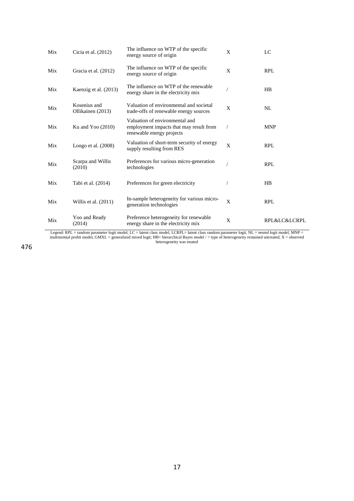| Mix | Cicia et al. (2012)               | The influence on WTP of the specific<br>energy source of origin                                        | X | LC                          |
|-----|-----------------------------------|--------------------------------------------------------------------------------------------------------|---|-----------------------------|
| Mix | Gracia et al. (2012)              | The influence on WTP of the specific<br>energy source of origin                                        | X | <b>RPL</b>                  |
| Mix | Kaenzig et al. (2013)             | The influence on WTP of the renewable<br>energy share in the electricity mix                           |   | HB                          |
| Mix | Kosenius and<br>Ollikainen (2013) | Valuation of environmental and societal<br>trade-offs of renewable energy sources                      | X | NL                          |
| Mix | Ku and Yoo (2010)                 | Valuation of environmental and<br>employment impacts that may result from<br>renewable energy projects |   | <b>MNP</b>                  |
| Mix | Longo et al. $(2008)$             | Valuation of short-term security of energy<br>supply resulting from RES                                | X | RPL                         |
| Mix | Scarpa and Willis<br>(2010)       | Preferences for various micro-generation<br>technologies                                               |   | RPL                         |
| Mix | Tabi et al. (2014)                | Preferences for green electricity                                                                      |   | HB                          |
| Mix | Willis et al. $(2011)$            | In-sample heterogeneity for various micro-<br>generation technologies                                  | X | <b>RPL</b>                  |
| Mix | Yoo and Ready<br>(2014)           | Preference heterogeneity for renewable<br>energy share in the electricity mix                          | X | <b>RPL&amp;LC&amp;LCRPL</b> |

Legend: RPL = random parameter logit model, LC = latent class model, LCRPL= latent class random parameter logit, NL = nested logit model, MNP = multinomial probit model, GMXL = generalized mixed logit; HB= hierarchical Bayes model  $/$  = type of heterogeneity remained untreated,  $X$  = observed heterogeneity was treated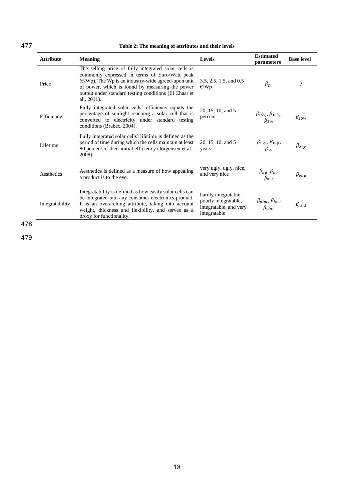| <b>Attribute</b> | <b>Meaning</b>                                                                                                                                                                                                                                                                                       | <b>Levels</b>                                                                          | <b>Estimated</b><br>parameters                     | <b>Base level</b> |
|------------------|------------------------------------------------------------------------------------------------------------------------------------------------------------------------------------------------------------------------------------------------------------------------------------------------------|----------------------------------------------------------------------------------------|----------------------------------------------------|-------------------|
| Price            | The selling price of fully integrated solar cells is<br>commonly expressed in terms of Euro/Watt peak<br>$(\mathcal{E}/Wp)$ . The Wp is an industry-wide agreed-upon unit<br>of power, which is found by measuring the power<br>output under standard testing conditions (El Chaar et<br>al., 2011). | 3.5, 2.5, 1.5, and 0.5<br>E/Wp                                                         | $\beta_{pr}$                                       |                   |
| Efficiency       | Fully integrated solar cells' efficiency equals the<br>percentage of sunlight reaching a solar cell that is<br>converted to electricity under standard testing<br>conditions (Brabec, 2004).                                                                                                         | 20, 15, 10, and 5<br>percent                                                           | $\beta_{15\%}, \beta_{10\%},$<br>$\beta_{5\%}$     | $\beta_{20\%}$    |
| Lifetime         | Fully integrated solar cells' lifetime is defined as the<br>period of time during which the cells maintain at least<br>80 percent of their initial efficiency (Jørgensen et al.,<br>2008).                                                                                                           | 20, 15, 10, and 5<br>years                                                             | $\beta_{15y}, \beta_{10y},$<br>$\beta_{5v}$        | $\beta_{20y}$     |
| Aesthetics       | Aesthetics is defined as a measure of how appealing<br>a product is to the eye.                                                                                                                                                                                                                      | very ugly, ugly, nice,<br>and very nice                                                | $\beta_{ug}, \beta_{ni},$ $\beta_{vni}$            | $\beta_{vug}$     |
| Integratability  | Integratability is defined as how easily solar cells can<br>be integrated into any consumer electronics product.<br>It is an overarching attribute, taking into account<br>weight, thickness and flexibility, and serves as a<br>proxy for functionality.                                            | hardly integratable,<br>poorly integratable,<br>integratable, and very<br>integratable | $\beta_{pint}$ , $\beta_{int}$ ,<br>$\beta_{vint}$ | $\beta_{hint}$    |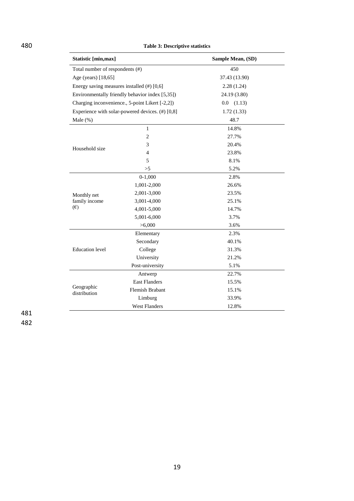| <b>Table 3: Descriptive statistics</b> |
|----------------------------------------|
|                                        |

| Statistic [min,max]             |                                                  | Sample Mean, (SD) |  |  |
|---------------------------------|--------------------------------------------------|-------------------|--|--|
| Total number of respondents (#) |                                                  | 450               |  |  |
| Age (years) [18,65]             |                                                  | 37.43 (13.90)     |  |  |
|                                 | Energy saving measures installed $(\#)$ [0,6]    | 2.28(1.24)        |  |  |
|                                 | Environmentally friendly behavior index [5,35])  | 24.19 (3.80)      |  |  |
|                                 | Charging inconvenience., 5-point Likert [-2,2])  | $0.0\,$<br>(1.13) |  |  |
|                                 | Experience with solar-powered devices. (#) [0,8] | 1.72(1.33)        |  |  |
| Male (%)                        |                                                  | 48.7              |  |  |
|                                 | $\mathbf{1}$                                     | 14.8%             |  |  |
|                                 | 2                                                | 27.7%             |  |  |
| Household size                  | 3                                                | 20.4%             |  |  |
|                                 | 4                                                | 23.8%             |  |  |
|                                 | 5                                                | 8.1%              |  |  |
|                                 | >5                                               | 5.2%              |  |  |
|                                 | $0-1,000$                                        | 2.8%              |  |  |
|                                 | 1,001-2,000                                      | 26.6%             |  |  |
| Monthly net                     | 2,001-3,000                                      | 23.5%             |  |  |
| family income                   | 3,001-4,000                                      | 25.1%             |  |  |
| $(\epsilon)$                    | 4,001-5,000                                      | 14.7%             |  |  |
|                                 | 5,001-6,000                                      | 3.7%              |  |  |
|                                 | > 6,000                                          | 3.6%              |  |  |
|                                 | Elementary                                       | 2.3%              |  |  |
|                                 | Secondary                                        | 40.1%             |  |  |
| <b>Education</b> level          | College                                          | 31.3%             |  |  |
|                                 | University                                       | 21.2%             |  |  |
|                                 | Post-university                                  | 5.1%              |  |  |
|                                 | Antwerp                                          | 22.7%             |  |  |
|                                 | <b>East Flanders</b>                             | 15.5%             |  |  |
| Geographic<br>distribution      | <b>Flemish Brabant</b>                           | 15.1%             |  |  |
|                                 | Limburg                                          | 33.9%             |  |  |
|                                 | <b>West Flanders</b>                             | 12.8%             |  |  |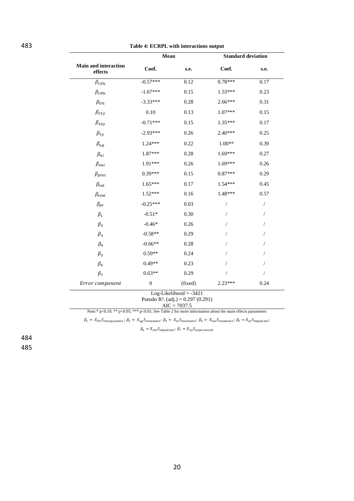|                                 | Mean             |         | Standard deviation |            |  |
|---------------------------------|------------------|---------|--------------------|------------|--|
| Main and interaction<br>effects | Coef.            | s.e.    | Coef.              | s.e.       |  |
| $\beta_{15\%}$                  | $-0.57***$       | 0.12    | $0.78***$          | 0.17       |  |
| $\beta_{10\%}$                  | $-1.67***$       | 0.15    | $1.53***$          | 0.23       |  |
| $\beta_{5\%}$                   | $-3.33***$       | 0.28    | $2.66***$          | 0.31       |  |
| $\beta_{15y}$                   | 0.10             | 0.13    | 1.07***            | 0.15       |  |
| $\beta_{10y}$                   | $-0.71***$       | 0.15    | 1.35***            | 0.17       |  |
| $\beta_{5y}$                    | $-2.93***$       | 0.26    | $2.40***$          | 0.25       |  |
| $\beta_{ug}$                    | $1.24***$        | 0.22    | $1.00**$           | 0.39       |  |
| $\beta_{ni}$                    | 1.87***          | 0.28    | 1.69***            | 0.27       |  |
| $\beta_{vni}$                   | 1.91***          | 0.26    | 1.69***            | 0.26       |  |
| $\beta_{pint}$                  | 0.39***          | 0.15    | $0.87***$          | 0.29       |  |
| $\beta_{int}$                   | $1.65***$        | 0.17    | $1.54***$          | 0.45       |  |
| $\beta_{vint}$                  | $1.52***$        | 0.16    | 1.48***            | 0.57       |  |
| $\beta_{pr}$                    | $-0.25***$       | 0.03    | /                  | $\sqrt{2}$ |  |
| $\beta_1$                       | $-0.51*$         | 0.30    |                    |            |  |
| $\beta_2$                       | $-0.46*$         | 0.26    |                    |            |  |
| $\beta_3$                       | $-0.58**$        | 0.29    |                    |            |  |
| $\beta_4$                       | $-0.66**$        | 0.28    |                    |            |  |
| $\beta_5$                       | $0.59**$         | 0.24    |                    |            |  |
| $\beta_6$                       | $0.49**$         | 0.23    |                    |            |  |
| $\beta_7$                       | $0.63**$         | 0.29    |                    |            |  |
| Error component                 | $\boldsymbol{0}$ | (fixed) | $2.23***$          | 0.24       |  |

 $AIC = 7037.5$ 

Note:\* p<0.10; \*\* p<0.05; \*\*\* p<0.01; See Table 2 for more information about the main effects parameters

 $\beta_1 = X_{5\%} S_{energyaware}; \; \beta_2 = X_{ug} S_{envaware}; \; \beta_3 = X_{ni} S_{envaware}; \; \beta_4 = X_{vni} S_{envaware}; \; \beta_5 = X_{ni} S_{impatient};$ 

 $\beta_6 = X_{vni}S_{impatient}$ ;  $\beta_7 = X_{5y}S_{expherical}$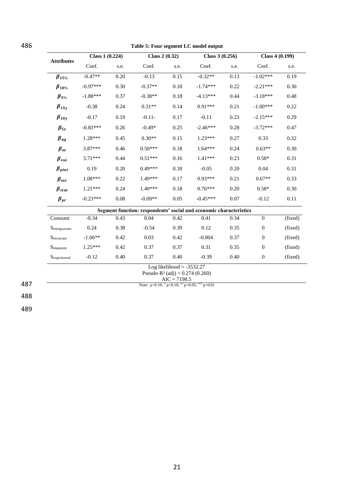486 **Table 5: Four segment LC model output**

| <b>Attributes</b>       | Class 1 (0.224)<br>Class 2 (0.32) |      | Class 3 (0.256) |                                                                                                | Class 4 (0.199)                                                    |      |                  |         |
|-------------------------|-----------------------------------|------|-----------------|------------------------------------------------------------------------------------------------|--------------------------------------------------------------------|------|------------------|---------|
|                         | Coef.                             | s.e. | Coef.           | s.e.                                                                                           | Coef.                                                              | s.e. | Coef.            | s.e.    |
| $\beta_{15\%}$          | $-0.47**$                         | 0.20 | $-0.13$         | 0.15                                                                                           | $-0.32**$                                                          | 0.13 | $-1.02***$       | 0.19    |
| $\pmb{\beta}_{10\%}$    | $-0.97***$                        | 0.30 | $-0.37**$       | 0.18                                                                                           | $-1.74***$                                                         | 0.22 | $-2.21***$       | 0.30    |
| $\beta_{5\%}$           | $-1.88***$                        | 0.37 | $-0.38**$       | 0.18                                                                                           | $-4.13***$                                                         | 0.44 | $-3.18***$       | 0.48    |
| $\beta_{15y}$           | $-0.38$                           | 0.24 | $0.31**$        | 0.14                                                                                           | $0.91***$                                                          | 0.21 | $-1.00***$       | 0.22    |
| $\beta_{10y}$           | $-0.17$                           | 0.19 | $-0.11-$        | 0.17                                                                                           | $-0.11$                                                            | 0.23 | $-2.15***$       | 0.29    |
| $\beta_{5y}$            | $-0.83***$                        | 0.26 | $-0.49*$        | 0.25                                                                                           | $-2.46***$                                                         | 0.28 | $-3.72***$       | 0.47    |
| $\beta_{ug}$            | 1.28***                           | 0.45 | $0.30**$        | 0.15                                                                                           | $1.23***$                                                          | 0.27 | 0.33             | 0.32    |
| $\beta_{ni}$            | $3.87***$                         | 0.46 | $0.50***$       | 0.18                                                                                           | $1.64***$                                                          | 0.24 | $0.63**$         | 0.30    |
| $\beta_{\textit{vni}}$  | $3.71***$                         | 0.44 | $0.51***$       | 0.16                                                                                           | $1.41***$                                                          | 0.23 | $0.58*$          | 0.31    |
| $\beta_{pint}$          | 0.19                              | 0.20 | $0.49***$       | 0.18                                                                                           | $-0.05$                                                            | 0.20 | 0.04             | 0.31    |
| $\beta_{int}$           | 1.08***                           | 0.22 | $1.49***$       | 0.17                                                                                           | $0.93***$                                                          | 0.21 | $0.67**$         | 0.33    |
| $\beta_{\text{vint}}$   | $1.21***$                         | 0.24 | 1.49***         | 0.18                                                                                           | $0.76***$                                                          | 0.20 | $0.58*$          | 0.30    |
| $\beta_{pr}$            | $-0.23***$                        | 0.08 | $-0.09**$       | 0.05                                                                                           | $-0.45***$                                                         | 0.07 | $-0.12$          | 0.11    |
|                         |                                   |      |                 |                                                                                                | Segment function: respondents' social and economic characteristics |      |                  |         |
| Constant                | $-0.34$                           | 0.43 | 0.04            | 0.42                                                                                           | 0.41                                                               | 0.34 | $\overline{0}$   | (fixed) |
| Senergyaware            | 0.24                              | 0.38 | $-0.54$         | 0.39                                                                                           | 0.12                                                               | 0.35 | $\boldsymbol{0}$ | (fixed) |
| Senvaware               | $-1.06**$                         | 0.42 | 0.03            | 0.42                                                                                           | $-0.004$                                                           | 0.37 | $\boldsymbol{0}$ | (fixed) |
| S <sub>impactient</sub> | 1.25***                           | 0.42 | 0.37            | 0.37                                                                                           | 0.31                                                               | 0.35 | $\boldsymbol{0}$ | (fixed) |
| Sexperienced            | $-0.12$                           | 0.40 | 0.37            | 0.40                                                                                           | $-0.39$                                                            | 0.40 | $\boldsymbol{0}$ | (fixed) |
|                         |                                   |      |                 | Log likelihood = $-3532.27$<br>Pseudo-R <sup>2</sup> (adj) = $0.274$ (0.260)<br>$AIC = 7198.5$ | Note: $p<0.10$ ; $p<0.10$ ; $p<0.05$ ; *** $p<0.01$                |      |                  |         |